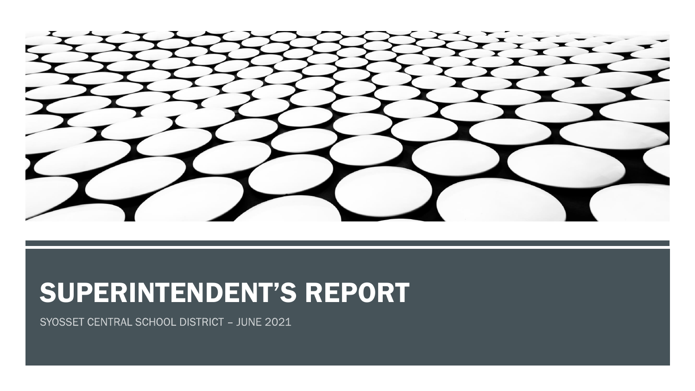

# SUPERINTENDENT'S REPORT

SYOSSET CENTRAL SCHOOL DISTRICT - JUNE 2021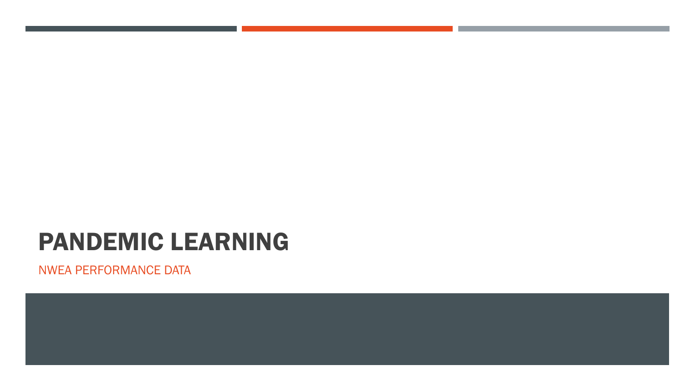# PANDEMIC LEARNING

NWEA PERFORMANCE DATA

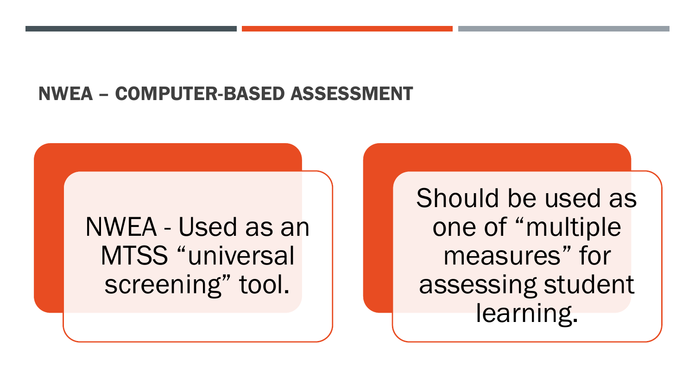## NWEA – COMPUTER-BASED ASSESSMENT

NWEA - Used as an MTSS "universal screening" tool.

Should be used as one of "multiple measures" for assessing student learning.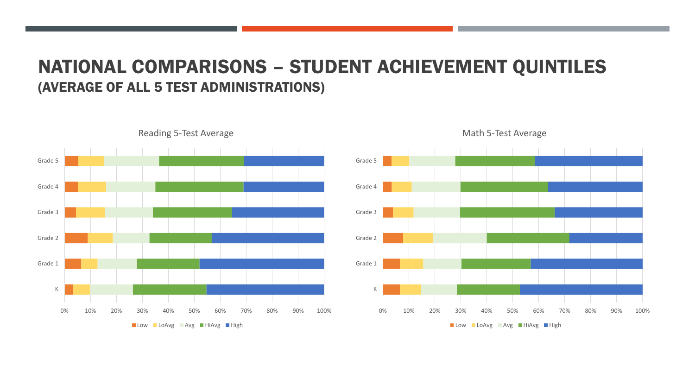### NATIONAL COMPARISONS – STUDENT ACHIEVEMENT QUINTILES (AVERAGE OF ALL 5 TEST ADMINISTRATIONS)



Reading 5-Test Average



#### Math 5-Test Average

Low LoAvg Avg HiAvg High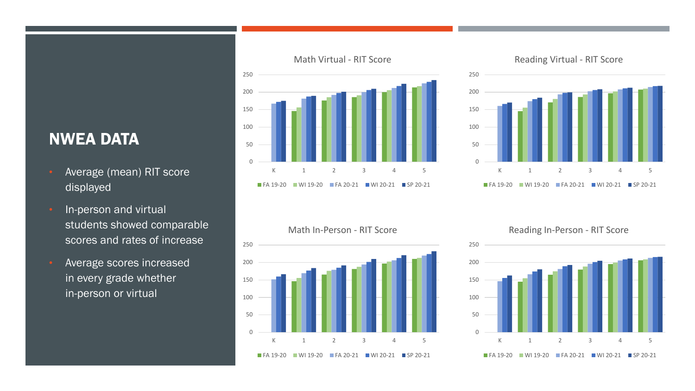### NWEA DATA

- Average (mean) RIT score displayed
- In-person and virtual students showed comparable scores and rates of increase
- Average scores increased in every grade whether in-person or virtual







0 50 100 150 200 250 K 1 2 3 4 5 Math In-Person - RIT Score FA 19-20 WI 19-20 FA 20-21 WI 20-21 SP 20-21 Reading In-Person - RIT Score

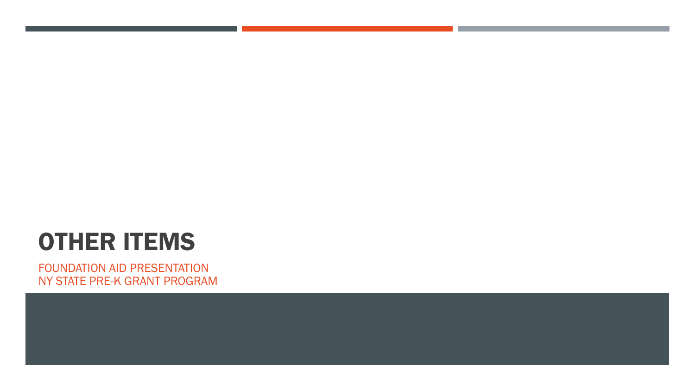# OTHER ITEMS

FOUNDATION AID PRESENTATION NY STATE PRE-K GRANT PROGRAM